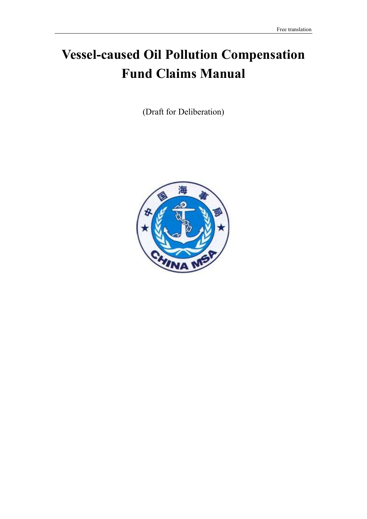# Vessel-caused Oil Pollution Compensation Fund Claims Manual

(Draft for Deliberation)

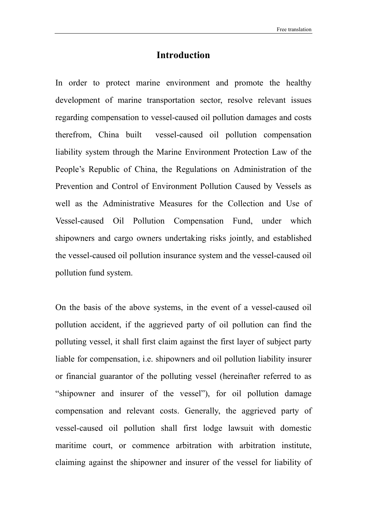## Introduction

In order to protect marine environment and promote the healthy development of marine transportation sector, resolve relevant issues regarding compensation to vessel-caused oil pollution damages and costs therefrom, China built vessel-caused oil pollution compensation liability system through the Marine Environment Protection Law of the People's Republic of China, the Regulations on Administration of the Prevention and Control of Environment Pollution Caused by Vessels as well as the Administrative Measures for the Collection and Use of Vessel-caused Oil Pollution Compensation Fund, under which shipowners and cargo owners undertaking risks jointly, and established the vessel-caused oil pollution insurance system and the vessel-caused oil pollution fund system.

On the basis of the above systems, in the event of a vessel-caused oil pollution accident, if the aggrieved party of oil pollution can find the polluting vessel, it shall first claim against the first layer of subject party liable for compensation, i.e. shipowners and oil pollution liability insurer or financial guarantor of the polluting vessel (hereinafter referred to as "shipowner and insurer of the vessel"), for oil pollution damage compensation and relevant costs. Generally, the aggrieved party of vessel-caused oil pollution shall first lodge lawsuit with domestic maritime court, or commence arbitration with arbitration institute, claiming against the shipowner and insurer of the vessel for liability of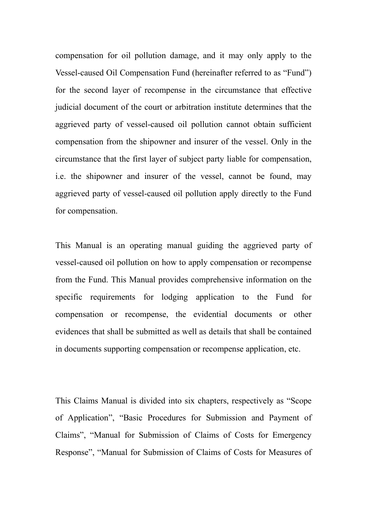compensation for oil pollution damage, and it may only apply to the Vessel-caused Oil Compensation Fund (hereinafter referred to as "Fund") for the second layer of recompense in the circumstance that effective judicial document of the court or arbitration institute determines that the aggrieved party of vessel-caused oil pollution cannot obtain sufficient compensation from the shipowner and insurer of the vessel. Only in the circumstance that the first layer of subject party liable for compensation, i.e. the shipowner and insurer of the vessel, cannot be found, may aggrieved party of vessel-caused oil pollution apply directly to the Fund for compensation.

This Manual is an operating manual guiding the aggrieved party of vessel-caused oil pollution on how to apply compensation or recompense from the Fund. This Manual provides comprehensive information on the specific requirements for lodging application to the Fund for compensation or recompense, the evidential documents or other evidences that shall be submitted as well as details that shall be contained in documents supporting compensation or recompense application, etc.

This Claims Manual is divided into six chapters, respectively as "Scope of Application", "Basic Procedures for Submission and Payment of Claims", "Manual for Submission of Claims of Costs for Emergency Response", "Manual for Submission of Claims of Costs for Measures of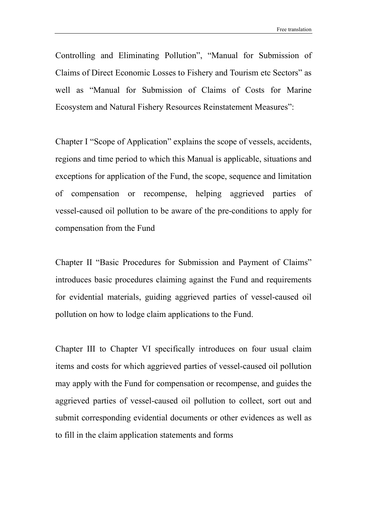Controlling and Eliminating Pollution", "Manual for Submission of Claims of Direct Economic Losses to Fishery and Tourism etc Sectors" as well as "Manual for Submission of Claims of Costs for Marine Ecosystem and Natural Fishery Resources Reinstatement Measures":

Chapter I "Scope of Application" explains the scope of vessels, accidents, regions and time period to which this Manual is applicable, situations and exceptions for application of the Fund, the scope, sequence and limitation of compensation or recompense, helping aggrieved parties of vessel-caused oil pollution to be aware of the pre-conditions to apply for compensation from the Fund

Chapter II "Basic Procedures for Submission and Payment of Claims" introduces basic procedures claiming against the Fund and requirements for evidential materials, guiding aggrieved parties of vessel-caused oil pollution on how to lodge claim applications to the Fund.

Chapter III to Chapter VI specifically introduces on four usual claim items and costs for which aggrieved parties of vessel-caused oil pollution may apply with the Fund for compensation or recompense, and guides the aggrieved parties of vessel-caused oil pollution to collect, sort out and submit corresponding evidential documents or other evidences as well as to fill in the claim application statements and forms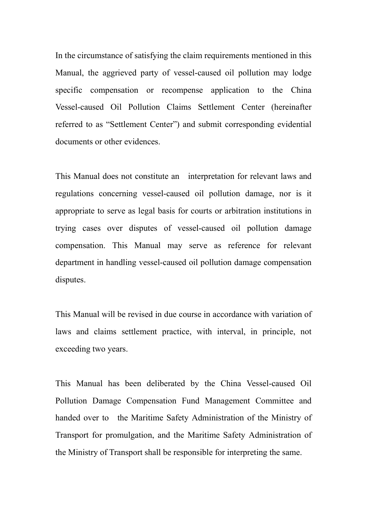In the circumstance of satisfying the claim requirements mentioned in this Manual, the aggrieved party of vessel-caused oil pollution may lodge specific compensation or recompense application to the China Vessel-caused Oil Pollution Claims Settlement Center (hereinafter referred to as "Settlement Center") and submit corresponding evidential documents or other evidences.

This Manual does not constitute an interpretation for relevant laws and regulations concerning vessel-caused oil pollution damage, nor is it appropriate to serve as legal basis for courts or arbitration institutions in trying cases over disputes of vessel-caused oil pollution damage compensation. This Manual may serve as reference for relevant department in handling vessel-caused oil pollution damage compensation disputes.

This Manual will be revised in due course in accordance with variation of laws and claims settlement practice, with interval, in principle, not exceeding two years.

This Manual has been deliberated by the China Vessel-caused Oil Pollution Damage Compensation Fund Management Committee and handed over to the Maritime Safety Administration of the Ministry of Transport for promulgation, and the Maritime Safety Administration of the Ministry of Transport shall be responsible for interpreting the same.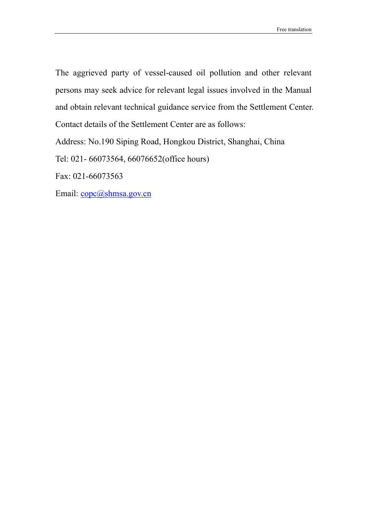The aggrieved party of vessel-caused oil pollution and other relevant persons may seek advice for relevant legal issues involved in the Manual and obtain relevant technical guidance service from the Settlement Center. Contact details of the Settlement Center are as follows:

Address: No.190 Siping Road, Hongkou District, Shanghai, China

Tel: 021- 66073564, 66076652(office hours)

Fax: 021-66073563

Email: copc@shmsa.gov.cn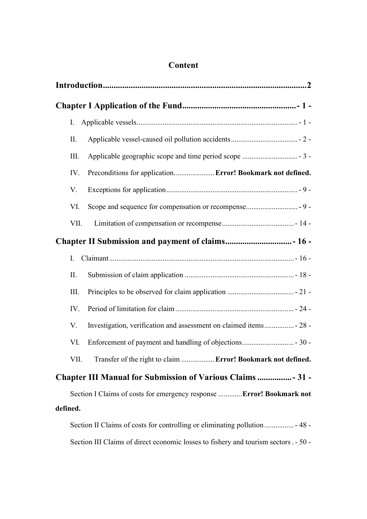| I.       |                                                                             |  |
|----------|-----------------------------------------------------------------------------|--|
| II.      |                                                                             |  |
| Ш.       |                                                                             |  |
| IV.      | Preconditions for application Error! Bookmark not defined.                  |  |
| V.       |                                                                             |  |
| VI.      |                                                                             |  |
| VII.     |                                                                             |  |
|          |                                                                             |  |
| I.       |                                                                             |  |
| II.      |                                                                             |  |
| III.     |                                                                             |  |
| IV.      |                                                                             |  |
| V.       | Investigation, verification and assessment on claimed items - 28 -          |  |
| VI.      |                                                                             |  |
| VII.     | Transfer of the right to claim  Error! Bookmark not defined.                |  |
|          | <b>Chapter III Manual for Submission of Various Claims  31 -</b>            |  |
|          | Section I Claims of costs for emergency response Error! Bookmark not        |  |
| defined. |                                                                             |  |
|          | Section II Claims of costs for controlling or eliminating pollution  - 48 - |  |

Section III Claims of direct economic losses to fishery and tourism sectors . - 50 -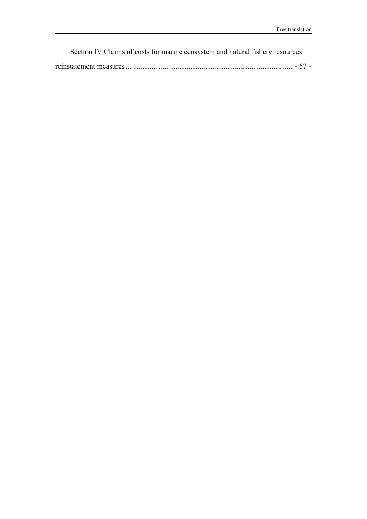Section IV Claims of costs for marine ecosystem and natural fishery resources

|--|--|--|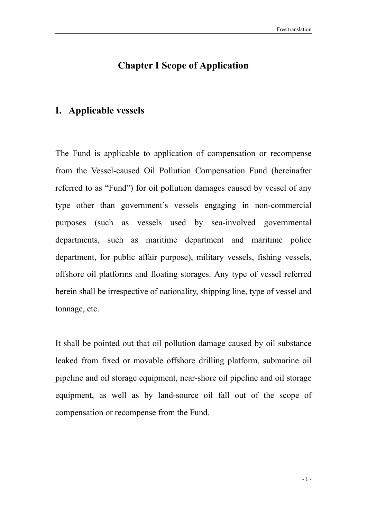## Chapter I Scope of Application

### I. Applicable vessels

The Fund is applicable to application of compensation or recompense from the Vessel-caused Oil Pollution Compensation Fund (hereinafter referred to as "Fund") for oil pollution damages caused by vessel of any type other than government's vessels engaging in non-commercial purposes (such as vessels used by sea-involved governmental departments, such as maritime department and maritime police department, for public affair purpose), military vessels, fishing vessels, offshore oil platforms and floating storages. Any type of vessel referred herein shall be irrespective of nationality, shipping line, type of vessel and tonnage, etc.

It shall be pointed out that oil pollution damage caused by oil substance leaked from fixed or movable offshore drilling platform, submarine oil pipeline and oil storage equipment, near-shore oil pipeline and oil storage equipment, as well as by land-source oil fall out of the scope of compensation or recompense from the Fund.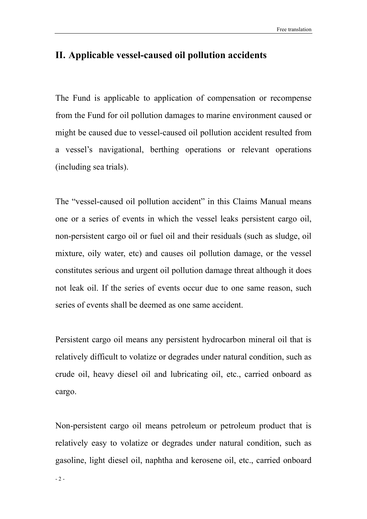## II. Applicable vessel-caused oil pollution accidents

The Fund is applicable to application of compensation or recompense from the Fund for oil pollution damages to marine environment caused or might be caused due to vessel-caused oil pollution accident resulted from a vessel's navigational, berthing operations or relevant operations (including sea trials).

The "vessel-caused oil pollution accident" in this Claims Manual means one or a series of events in which the vessel leaks persistent cargo oil, non-persistent cargo oil or fuel oil and their residuals (such as sludge, oil mixture, oily water, etc) and causes oil pollution damage, or the vessel constitutes serious and urgent oil pollution damage threat although it does not leak oil. If the series of events occur due to one same reason, such series of events shall be deemed as one same accident.

Persistent cargo oil means any persistent hydrocarbon mineral oil that is relatively difficult to volatize or degrades under natural condition, such as crude oil, heavy diesel oil and lubricating oil, etc., carried onboard as cargo.

Non-persistent cargo oil means petroleum or petroleum product that is relatively easy to volatize or degrades under natural condition, such as gasoline, light diesel oil, naphtha and kerosene oil, etc., carried onboard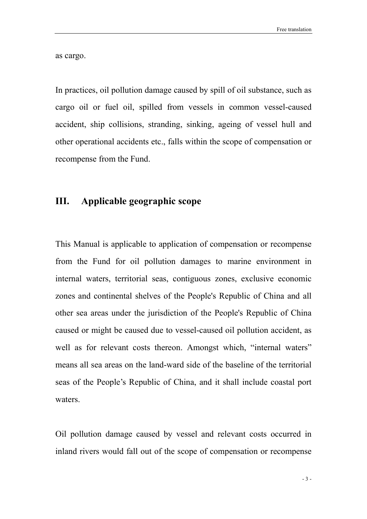as cargo.

In practices, oil pollution damage caused by spill of oil substance, such as cargo oil or fuel oil, spilled from vessels in common vessel-caused accident, ship collisions, stranding, sinking, ageing of vessel hull and other operational accidents etc., falls within the scope of compensation or recompense from the Fund.

## III. Applicable geographic scope

This Manual is applicable to application of compensation or recompense from the Fund for oil pollution damages to marine environment in internal waters, territorial seas, contiguous zones, exclusive economic zones and continental shelves of the People's Republic of China and all other sea areas under the jurisdiction of the People's Republic of China caused or might be caused due to vessel-caused oil pollution accident, as well as for relevant costs thereon. Amongst which, "internal waters" means all sea areas on the land-ward side of the baseline of the territorial seas of the People's Republic of China, and it shall include coastal port waters.

Oil pollution damage caused by vessel and relevant costs occurred in inland rivers would fall out of the scope of compensation or recompense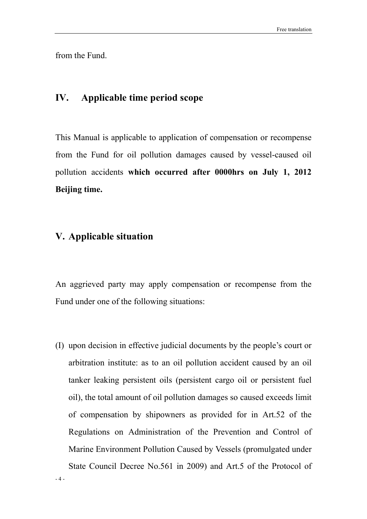from the Fund.

## IV. Applicable time period scope

This Manual is applicable to application of compensation or recompense from the Fund for oil pollution damages caused by vessel-caused oil pollution accidents which occurred after 0000hrs on July 1, 2012 Beijing time.

## V. Applicable situation

 $-4-$ 

An aggrieved party may apply compensation or recompense from the Fund under one of the following situations:

(I) upon decision in effective judicial documents by the people's court or arbitration institute: as to an oil pollution accident caused by an oil tanker leaking persistent oils (persistent cargo oil or persistent fuel oil), the total amount of oil pollution damages so caused exceeds limit of compensation by shipowners as provided for in Art.52 of the Regulations on Administration of the Prevention and Control of Marine Environment Pollution Caused by Vessels (promulgated under State Council Decree No.561 in 2009) and Art.5 of the Protocol of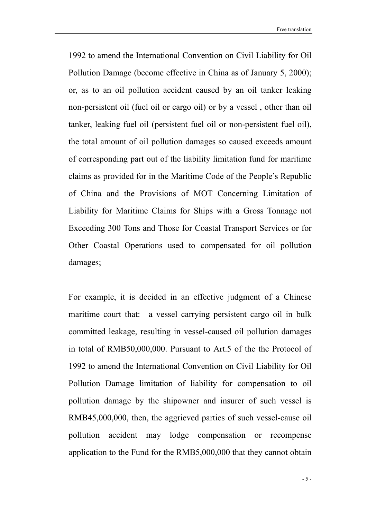1992 to amend the International Convention on Civil Liability for Oil Pollution Damage (become effective in China as of January 5, 2000); or, as to an oil pollution accident caused by an oil tanker leaking non-persistent oil (fuel oil or cargo oil) or by a vessel , other than oil tanker, leaking fuel oil (persistent fuel oil or non-persistent fuel oil), the total amount of oil pollution damages so caused exceeds amount of corresponding part out of the liability limitation fund for maritime claims as provided for in the Maritime Code of the People's Republic of China and the Provisions of MOT Concerning Limitation of Liability for Maritime Claims for Ships with a Gross Tonnage not Exceeding 300 Tons and Those for Coastal Transport Services or for Other Coastal Operations used to compensated for oil pollution damages;

For example, it is decided in an effective judgment of a Chinese maritime court that: a vessel carrying persistent cargo oil in bulk committed leakage, resulting in vessel-caused oil pollution damages in total of RMB50,000,000. Pursuant to Art.5 of the the Protocol of 1992 to amend the International Convention on Civil Liability for Oil Pollution Damage limitation of liability for compensation to oil pollution damage by the shipowner and insurer of such vessel is RMB45,000,000, then, the aggrieved parties of such vessel-cause oil pollution accident may lodge compensation or recompense application to the Fund for the RMB5,000,000 that they cannot obtain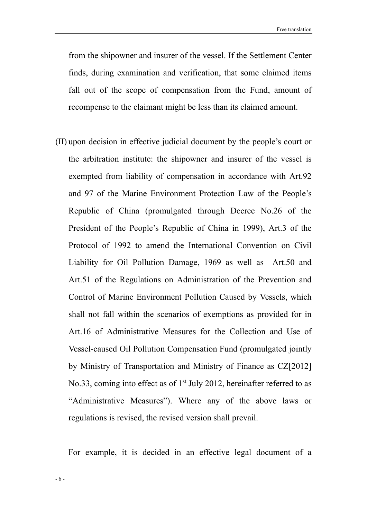from the shipowner and insurer of the vessel. If the Settlement Center finds, during examination and verification, that some claimed items fall out of the scope of compensation from the Fund, amount of recompense to the claimant might be less than its claimed amount.

(II) upon decision in effective judicial document by the people's court or the arbitration institute: the shipowner and insurer of the vessel is exempted from liability of compensation in accordance with Art.92 and 97 of the Marine Environment Protection Law of the People's Republic of China (promulgated through Decree No.26 of the President of the People's Republic of China in 1999), Art.3 of the Protocol of 1992 to amend the International Convention on Civil Liability for Oil Pollution Damage, 1969 as well as Art.50 and Art.51 of the Regulations on Administration of the Prevention and Control of Marine Environment Pollution Caused by Vessels, which shall not fall within the scenarios of exemptions as provided for in Art.16 of Administrative Measures for the Collection and Use of Vessel-caused Oil Pollution Compensation Fund (promulgated jointly by Ministry of Transportation and Ministry of Finance as CZ[2012] No.33, coming into effect as of  $1<sup>st</sup>$  July 2012, hereinafter referred to as "Administrative Measures"). Where any of the above laws or regulations is revised, the revised version shall prevail.

For example, it is decided in an effective legal document of a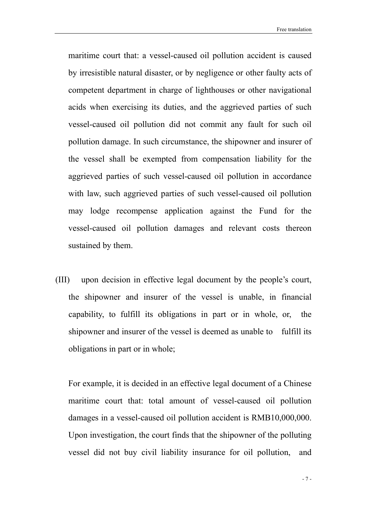maritime court that: a vessel-caused oil pollution accident is caused by irresistible natural disaster, or by negligence or other faulty acts of competent department in charge of lighthouses or other navigational acids when exercising its duties, and the aggrieved parties of such vessel-caused oil pollution did not commit any fault for such oil pollution damage. In such circumstance, the shipowner and insurer of the vessel shall be exempted from compensation liability for the aggrieved parties of such vessel-caused oil pollution in accordance with law, such aggrieved parties of such vessel-caused oil pollution may lodge recompense application against the Fund for the vessel-caused oil pollution damages and relevant costs thereon sustained by them.

(III) upon decision in effective legal document by the people's court, the shipowner and insurer of the vessel is unable, in financial capability, to fulfill its obligations in part or in whole, or, the shipowner and insurer of the vessel is deemed as unable to fulfill its obligations in part or in whole;

For example, it is decided in an effective legal document of a Chinese maritime court that: total amount of vessel-caused oil pollution damages in a vessel-caused oil pollution accident is RMB10,000,000. Upon investigation, the court finds that the shipowner of the polluting vessel did not buy civil liability insurance for oil pollution, and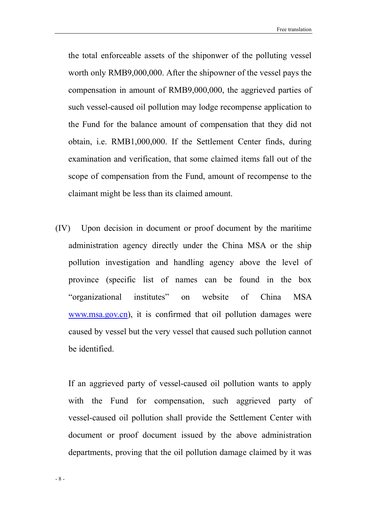the total enforceable assets of the shiponwer of the polluting vessel worth only RMB9,000,000. After the shipowner of the vessel pays the compensation in amount of RMB9,000,000, the aggrieved parties of such vessel-caused oil pollution may lodge recompense application to the Fund for the balance amount of compensation that they did not obtain, i.e. RMB1,000,000. If the Settlement Center finds, during examination and verification, that some claimed items fall out of the scope of compensation from the Fund, amount of recompense to the claimant might be less than its claimed amount.

(IV) Upon decision in document or proof document by the maritime administration agency directly under the China MSA or the ship pollution investigation and handling agency above the level of province (specific list of names can be found in the box "organizational institutes" on website of China MSA www.msa.gov.cn), it is confirmed that oil pollution damages were caused by vessel but the very vessel that caused such pollution cannot be identified.

If an aggrieved party of vessel-caused oil pollution wants to apply with the Fund for compensation, such aggrieved party of vessel-caused oil pollution shall provide the Settlement Center with document or proof document issued by the above administration departments, proving that the oil pollution damage claimed by it was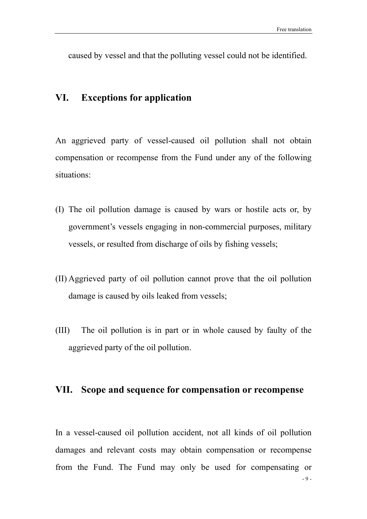caused by vessel and that the polluting vessel could not be identified.

## VI. Exceptions for application

An aggrieved party of vessel-caused oil pollution shall not obtain compensation or recompense from the Fund under any of the following situations:

- (I) The oil pollution damage is caused by wars or hostile acts or, by government's vessels engaging in non-commercial purposes, military vessels, or resulted from discharge of oils by fishing vessels;
- (II) Aggrieved party of oil pollution cannot prove that the oil pollution damage is caused by oils leaked from vessels;
- (III) The oil pollution is in part or in whole caused by faulty of the aggrieved party of the oil pollution.

## VII. Scope and sequence for compensation or recompense

- 9 - In a vessel-caused oil pollution accident, not all kinds of oil pollution damages and relevant costs may obtain compensation or recompense from the Fund. The Fund may only be used for compensating or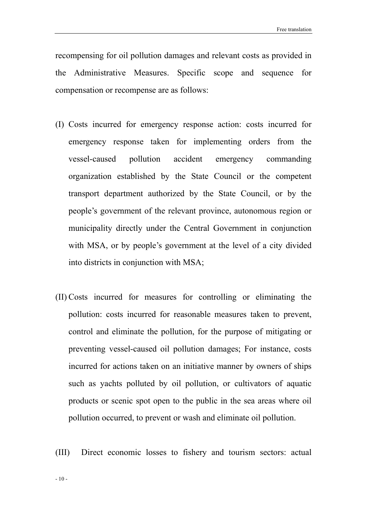recompensing for oil pollution damages and relevant costs as provided in the Administrative Measures. Specific scope and sequence for compensation or recompense are as follows:

- (I) Costs incurred for emergency response action: costs incurred for emergency response taken for implementing orders from the vessel-caused pollution accident emergency commanding organization established by the State Council or the competent transport department authorized by the State Council, or by the people's government of the relevant province, autonomous region or municipality directly under the Central Government in conjunction with MSA, or by people's government at the level of a city divided into districts in conjunction with MSA;
- (II) Costs incurred for measures for controlling or eliminating the pollution: costs incurred for reasonable measures taken to prevent, control and eliminate the pollution, for the purpose of mitigating or preventing vessel-caused oil pollution damages; For instance, costs incurred for actions taken on an initiative manner by owners of ships such as yachts polluted by oil pollution, or cultivators of aquatic products or scenic spot open to the public in the sea areas where oil pollution occurred, to prevent or wash and eliminate oil pollution.
- (III) Direct economic losses to fishery and tourism sectors: actual

- 10 -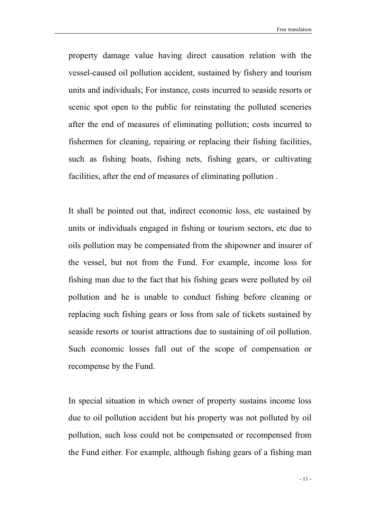property damage value having direct causation relation with the vessel-caused oil pollution accident, sustained by fishery and tourism units and individuals; For instance, costs incurred to seaside resorts or scenic spot open to the public for reinstating the polluted sceneries after the end of measures of eliminating pollution; costs incurred to fishermen for cleaning, repairing or replacing their fishing facilities, such as fishing boats, fishing nets, fishing gears, or cultivating facilities, after the end of measures of eliminating pollution .

It shall be pointed out that, indirect economic loss, etc sustained by units or individuals engaged in fishing or tourism sectors, etc due to oils pollution may be compensated from the shipowner and insurer of the vessel, but not from the Fund. For example, income loss for fishing man due to the fact that his fishing gears were polluted by oil pollution and he is unable to conduct fishing before cleaning or replacing such fishing gears or loss from sale of tickets sustained by seaside resorts or tourist attractions due to sustaining of oil pollution. Such economic losses fall out of the scope of compensation or recompense by the Fund.

In special situation in which owner of property sustains income loss due to oil pollution accident but his property was not polluted by oil pollution, such loss could not be compensated or recompensed from the Fund either. For example, although fishing gears of a fishing man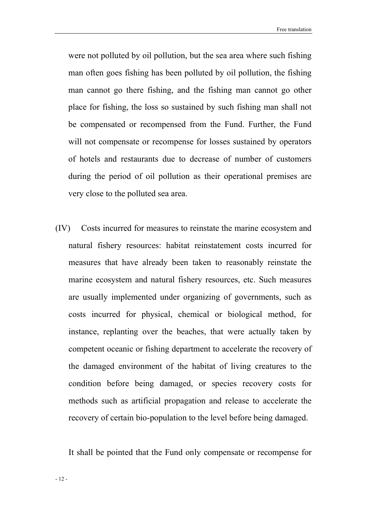Free translation

were not polluted by oil pollution, but the sea area where such fishing man often goes fishing has been polluted by oil pollution, the fishing man cannot go there fishing, and the fishing man cannot go other place for fishing, the loss so sustained by such fishing man shall not be compensated or recompensed from the Fund. Further, the Fund will not compensate or recompense for losses sustained by operators of hotels and restaurants due to decrease of number of customers during the period of oil pollution as their operational premises are very close to the polluted sea area.

(IV) Costs incurred for measures to reinstate the marine ecosystem and natural fishery resources: habitat reinstatement costs incurred for measures that have already been taken to reasonably reinstate the marine ecosystem and natural fishery resources, etc. Such measures are usually implemented under organizing of governments, such as costs incurred for physical, chemical or biological method, for instance, replanting over the beaches, that were actually taken by competent oceanic or fishing department to accelerate the recovery of the damaged environment of the habitat of living creatures to the condition before being damaged, or species recovery costs for methods such as artificial propagation and release to accelerate the recovery of certain bio-population to the level before being damaged.

It shall be pointed that the Fund only compensate or recompense for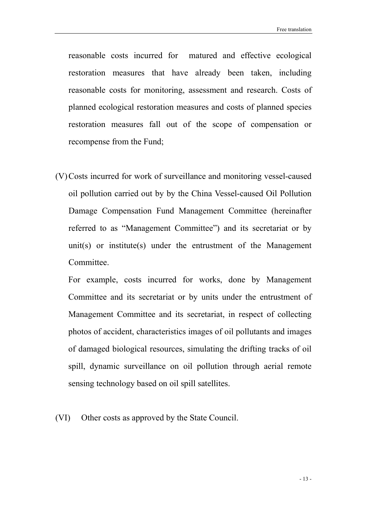reasonable costs incurred for matured and effective ecological restoration measures that have already been taken, including reasonable costs for monitoring, assessment and research. Costs of planned ecological restoration measures and costs of planned species restoration measures fall out of the scope of compensation or recompense from the Fund;

(V)Costs incurred for work of surveillance and monitoring vessel-caused oil pollution carried out by by the China Vessel-caused Oil Pollution Damage Compensation Fund Management Committee (hereinafter referred to as "Management Committee") and its secretariat or by unit(s) or institute(s) under the entrustment of the Management Committee.

For example, costs incurred for works, done by Management Committee and its secretariat or by units under the entrustment of Management Committee and its secretariat, in respect of collecting photos of accident, characteristics images of oil pollutants and images of damaged biological resources, simulating the drifting tracks of oil spill, dynamic surveillance on oil pollution through aerial remote sensing technology based on oil spill satellites.

(VI) Other costs as approved by the State Council.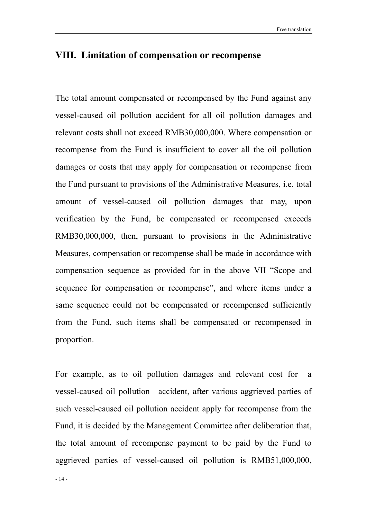## VIII. Limitation of compensation or recompense

The total amount compensated or recompensed by the Fund against any vessel-caused oil pollution accident for all oil pollution damages and relevant costs shall not exceed RMB30,000,000. Where compensation or recompense from the Fund is insufficient to cover all the oil pollution damages or costs that may apply for compensation or recompense from the Fund pursuant to provisions of the Administrative Measures, i.e. total amount of vessel-caused oil pollution damages that may, upon verification by the Fund, be compensated or recompensed exceeds RMB30,000,000, then, pursuant to provisions in the Administrative Measures, compensation or recompense shall be made in accordance with compensation sequence as provided for in the above VII "Scope and sequence for compensation or recompense", and where items under a same sequence could not be compensated or recompensed sufficiently from the Fund, such items shall be compensated or recompensed in proportion.

For example, as to oil pollution damages and relevant cost for a vessel-caused oil pollution accident, after various aggrieved parties of such vessel-caused oil pollution accident apply for recompense from the Fund, it is decided by the Management Committee after deliberation that, the total amount of recompense payment to be paid by the Fund to aggrieved parties of vessel-caused oil pollution is RMB51,000,000,

- 14 -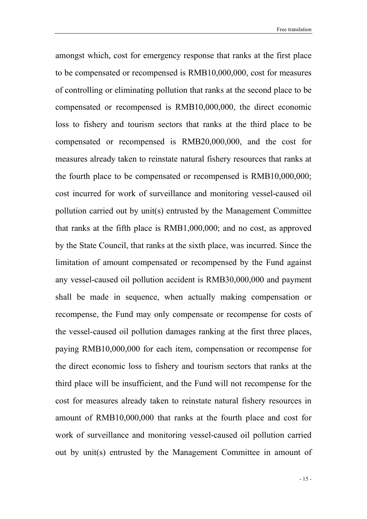amongst which, cost for emergency response that ranks at the first place to be compensated or recompensed is RMB10,000,000, cost for measures of controlling or eliminating pollution that ranks at the second place to be compensated or recompensed is RMB10,000,000, the direct economic loss to fishery and tourism sectors that ranks at the third place to be compensated or recompensed is RMB20,000,000, and the cost for measures already taken to reinstate natural fishery resources that ranks at the fourth place to be compensated or recompensed is RMB10,000,000; cost incurred for work of surveillance and monitoring vessel-caused oil pollution carried out by unit(s) entrusted by the Management Committee that ranks at the fifth place is RMB1,000,000; and no cost, as approved by the State Council, that ranks at the sixth place, was incurred. Since the limitation of amount compensated or recompensed by the Fund against any vessel-caused oil pollution accident is RMB30,000,000 and payment shall be made in sequence, when actually making compensation or recompense, the Fund may only compensate or recompense for costs of the vessel-caused oil pollution damages ranking at the first three places, paying RMB10,000,000 for each item, compensation or recompense for the direct economic loss to fishery and tourism sectors that ranks at the third place will be insufficient, and the Fund will not recompense for the cost for measures already taken to reinstate natural fishery resources in amount of RMB10,000,000 that ranks at the fourth place and cost for work of surveillance and monitoring vessel-caused oil pollution carried out by unit(s) entrusted by the Management Committee in amount of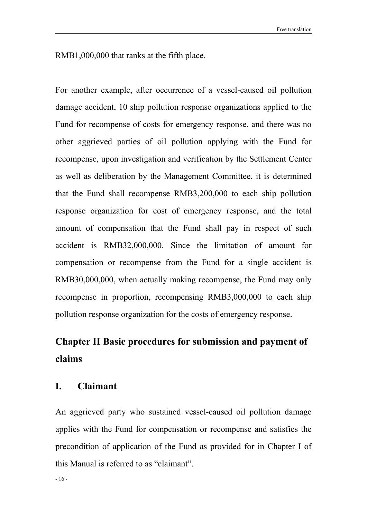RMB1,000,000 that ranks at the fifth place.

For another example, after occurrence of a vessel-caused oil pollution damage accident, 10 ship pollution response organizations applied to the Fund for recompense of costs for emergency response, and there was no other aggrieved parties of oil pollution applying with the Fund for recompense, upon investigation and verification by the Settlement Center as well as deliberation by the Management Committee, it is determined that the Fund shall recompense RMB3,200,000 to each ship pollution response organization for cost of emergency response, and the total amount of compensation that the Fund shall pay in respect of such accident is RMB32,000,000. Since the limitation of amount for compensation or recompense from the Fund for a single accident is RMB30,000,000, when actually making recompense, the Fund may only recompense in proportion, recompensing RMB3,000,000 to each ship pollution response organization for the costs of emergency response.

## Chapter II Basic procedures for submission and payment of claims

#### I. Claimant

An aggrieved party who sustained vessel-caused oil pollution damage applies with the Fund for compensation or recompense and satisfies the precondition of application of the Fund as provided for in Chapter I of this Manual is referred to as "claimant".

 $-16-$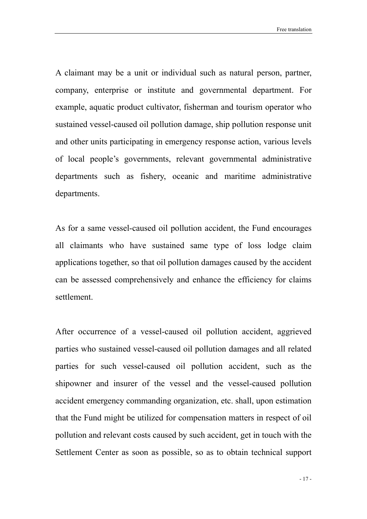A claimant may be a unit or individual such as natural person, partner, company, enterprise or institute and governmental department. For example, aquatic product cultivator, fisherman and tourism operator who sustained vessel-caused oil pollution damage, ship pollution response unit and other units participating in emergency response action, various levels of local people's governments, relevant governmental administrative departments such as fishery, oceanic and maritime administrative departments.

As for a same vessel-caused oil pollution accident, the Fund encourages all claimants who have sustained same type of loss lodge claim applications together, so that oil pollution damages caused by the accident can be assessed comprehensively and enhance the efficiency for claims settlement.

After occurrence of a vessel-caused oil pollution accident, aggrieved parties who sustained vessel-caused oil pollution damages and all related parties for such vessel-caused oil pollution accident, such as the shipowner and insurer of the vessel and the vessel-caused pollution accident emergency commanding organization, etc. shall, upon estimation that the Fund might be utilized for compensation matters in respect of oil pollution and relevant costs caused by such accident, get in touch with the Settlement Center as soon as possible, so as to obtain technical support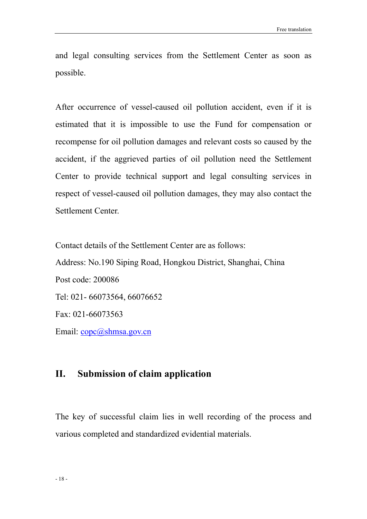and legal consulting services from the Settlement Center as soon as possible.

After occurrence of vessel-caused oil pollution accident, even if it is estimated that it is impossible to use the Fund for compensation or recompense for oil pollution damages and relevant costs so caused by the accident, if the aggrieved parties of oil pollution need the Settlement Center to provide technical support and legal consulting services in respect of vessel-caused oil pollution damages, they may also contact the Settlement Center.

Contact details of the Settlement Center are as follows: Address: No.190 Siping Road, Hongkou District, Shanghai, China Post code: 200086 Tel: 021- 66073564, 66076652 Fax: 021-66073563 Email: copc@shmsa.gov.cn

### II. Submission of claim application

The key of successful claim lies in well recording of the process and various completed and standardized evidential materials.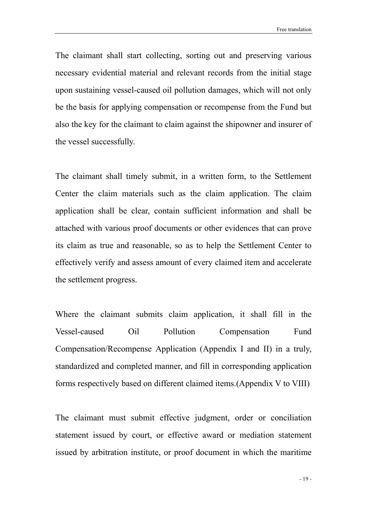The claimant shall start collecting, sorting out and preserving various necessary evidential material and relevant records from the initial stage upon sustaining vessel-caused oil pollution damages, which will not only be the basis for applying compensation or recompense from the Fund but also the key for the claimant to claim against the shipowner and insurer of the vessel successfully.

The claimant shall timely submit, in a written form, to the Settlement Center the claim materials such as the claim application. The claim application shall be clear, contain sufficient information and shall be attached with various proof documents or other evidences that can prove its claim as true and reasonable, so as to help the Settlement Center to effectively verify and assess amount of every claimed item and accelerate the settlement progress.

Where the claimant submits claim application, it shall fill in the Vessel-caused Oil Pollution Compensation Fund Compensation/Recompense Application (Appendix I and II) in a truly, standardized and completed manner, and fill in corresponding application forms respectively based on different claimed items.(Appendix V to VIII)

The claimant must submit effective judgment, order or conciliation statement issued by court, or effective award or mediation statement issued by arbitration institute, or proof document in which the maritime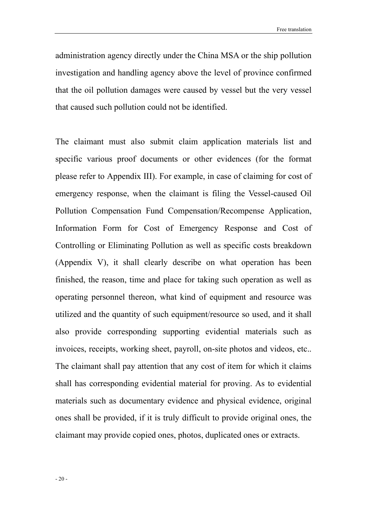administration agency directly under the China MSA or the ship pollution investigation and handling agency above the level of province confirmed that the oil pollution damages were caused by vessel but the very vessel that caused such pollution could not be identified.

The claimant must also submit claim application materials list and specific various proof documents or other evidences (for the format please refer to Appendix III). For example, in case of claiming for cost of emergency response, when the claimant is filing the Vessel-caused Oil Pollution Compensation Fund Compensation/Recompense Application, Information Form for Cost of Emergency Response and Cost of Controlling or Eliminating Pollution as well as specific costs breakdown (Appendix V), it shall clearly describe on what operation has been finished, the reason, time and place for taking such operation as well as operating personnel thereon, what kind of equipment and resource was utilized and the quantity of such equipment/resource so used, and it shall also provide corresponding supporting evidential materials such as invoices, receipts, working sheet, payroll, on-site photos and videos, etc.. The claimant shall pay attention that any cost of item for which it claims shall has corresponding evidential material for proving. As to evidential materials such as documentary evidence and physical evidence, original ones shall be provided, if it is truly difficult to provide original ones, the claimant may provide copied ones, photos, duplicated ones or extracts.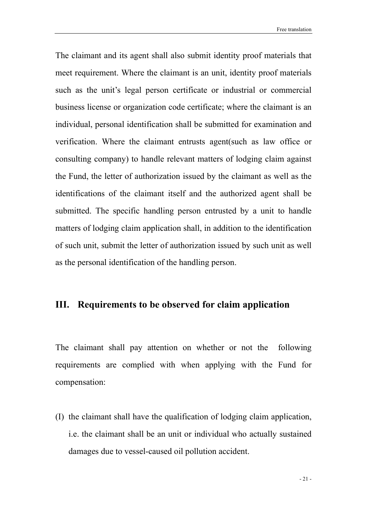The claimant and its agent shall also submit identity proof materials that meet requirement. Where the claimant is an unit, identity proof materials such as the unit's legal person certificate or industrial or commercial business license or organization code certificate; where the claimant is an individual, personal identification shall be submitted for examination and verification. Where the claimant entrusts agent(such as law office or consulting company) to handle relevant matters of lodging claim against the Fund, the letter of authorization issued by the claimant as well as the identifications of the claimant itself and the authorized agent shall be submitted. The specific handling person entrusted by a unit to handle matters of lodging claim application shall, in addition to the identification of such unit, submit the letter of authorization issued by such unit as well as the personal identification of the handling person.

## III. Requirements to be observed for claim application

The claimant shall pay attention on whether or not the following requirements are complied with when applying with the Fund for compensation:

(I) the claimant shall have the qualification of lodging claim application, i.e. the claimant shall be an unit or individual who actually sustained damages due to vessel-caused oil pollution accident.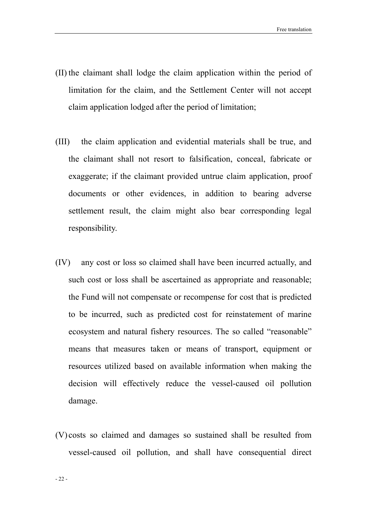- (II) the claimant shall lodge the claim application within the period of limitation for the claim, and the Settlement Center will not accept claim application lodged after the period of limitation;
- (III) the claim application and evidential materials shall be true, and the claimant shall not resort to falsification, conceal, fabricate or exaggerate; if the claimant provided untrue claim application, proof documents or other evidences, in addition to bearing adverse settlement result, the claim might also bear corresponding legal responsibility.
- (IV) any cost or loss so claimed shall have been incurred actually, and such cost or loss shall be ascertained as appropriate and reasonable; the Fund will not compensate or recompense for cost that is predicted to be incurred, such as predicted cost for reinstatement of marine ecosystem and natural fishery resources. The so called "reasonable" means that measures taken or means of transport, equipment or resources utilized based on available information when making the decision will effectively reduce the vessel-caused oil pollution damage.
- (V) costs so claimed and damages so sustained shall be resulted from vessel-caused oil pollution, and shall have consequential direct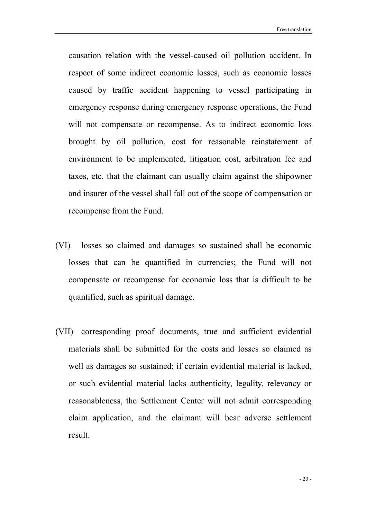Free translation

causation relation with the vessel-caused oil pollution accident. In respect of some indirect economic losses, such as economic losses caused by traffic accident happening to vessel participating in emergency response during emergency response operations, the Fund will not compensate or recompense. As to indirect economic loss brought by oil pollution, cost for reasonable reinstatement of environment to be implemented, litigation cost, arbitration fee and taxes, etc. that the claimant can usually claim against the shipowner and insurer of the vessel shall fall out of the scope of compensation or recompense from the Fund.

- (VI) losses so claimed and damages so sustained shall be economic losses that can be quantified in currencies; the Fund will not compensate or recompense for economic loss that is difficult to be quantified, such as spiritual damage.
- (VII) corresponding proof documents, true and sufficient evidential materials shall be submitted for the costs and losses so claimed as well as damages so sustained; if certain evidential material is lacked, or such evidential material lacks authenticity, legality, relevancy or reasonableness, the Settlement Center will not admit corresponding claim application, and the claimant will bear adverse settlement result.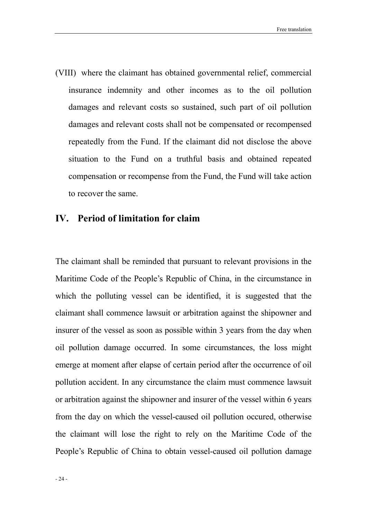(VIII) where the claimant has obtained governmental relief, commercial insurance indemnity and other incomes as to the oil pollution damages and relevant costs so sustained, such part of oil pollution damages and relevant costs shall not be compensated or recompensed repeatedly from the Fund. If the claimant did not disclose the above situation to the Fund on a truthful basis and obtained repeated compensation or recompense from the Fund, the Fund will take action to recover the same.

### IV. Period of limitation for claim

The claimant shall be reminded that pursuant to relevant provisions in the Maritime Code of the People's Republic of China, in the circumstance in which the polluting vessel can be identified, it is suggested that the claimant shall commence lawsuit or arbitration against the shipowner and insurer of the vessel as soon as possible within 3 years from the day when oil pollution damage occurred. In some circumstances, the loss might emerge at moment after elapse of certain period after the occurrence of oil pollution accident. In any circumstance the claim must commence lawsuit or arbitration against the shipowner and insurer of the vessel within 6 years from the day on which the vessel-caused oil pollution occured, otherwise the claimant will lose the right to rely on the Maritime Code of the People's Republic of China to obtain vessel-caused oil pollution damage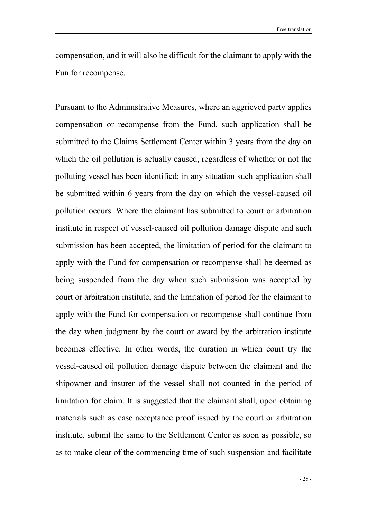compensation, and it will also be difficult for the claimant to apply with the Fun for recompense.

Pursuant to the Administrative Measures, where an aggrieved party applies compensation or recompense from the Fund, such application shall be submitted to the Claims Settlement Center within 3 years from the day on which the oil pollution is actually caused, regardless of whether or not the polluting vessel has been identified; in any situation such application shall be submitted within 6 years from the day on which the vessel-caused oil pollution occurs. Where the claimant has submitted to court or arbitration institute in respect of vessel-caused oil pollution damage dispute and such submission has been accepted, the limitation of period for the claimant to apply with the Fund for compensation or recompense shall be deemed as being suspended from the day when such submission was accepted by court or arbitration institute, and the limitation of period for the claimant to apply with the Fund for compensation or recompense shall continue from the day when judgment by the court or award by the arbitration institute becomes effective. In other words, the duration in which court try the vessel-caused oil pollution damage dispute between the claimant and the shipowner and insurer of the vessel shall not counted in the period of limitation for claim. It is suggested that the claimant shall, upon obtaining materials such as case acceptance proof issued by the court or arbitration institute, submit the same to the Settlement Center as soon as possible, so as to make clear of the commencing time of such suspension and facilitate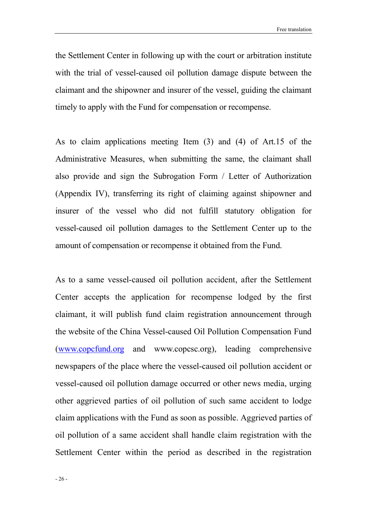the Settlement Center in following up with the court or arbitration institute with the trial of vessel-caused oil pollution damage dispute between the claimant and the shipowner and insurer of the vessel, guiding the claimant timely to apply with the Fund for compensation or recompense.

As to claim applications meeting Item (3) and (4) of Art.15 of the Administrative Measures, when submitting the same, the claimant shall also provide and sign the Subrogation Form / Letter of Authorization (Appendix IV), transferring its right of claiming against shipowner and insurer of the vessel who did not fulfill statutory obligation for vessel-caused oil pollution damages to the Settlement Center up to the amount of compensation or recompense it obtained from the Fund.

As to a same vessel-caused oil pollution accident, after the Settlement Center accepts the application for recompense lodged by the first claimant, it will publish fund claim registration announcement through the website of the China Vessel-caused Oil Pollution Compensation Fund (www.copcfund.org and www.copcsc.org), leading comprehensive newspapers of the place where the vessel-caused oil pollution accident or vessel-caused oil pollution damage occurred or other news media, urging other aggrieved parties of oil pollution of such same accident to lodge claim applications with the Fund as soon as possible. Aggrieved parties of oil pollution of a same accident shall handle claim registration with the Settlement Center within the period as described in the registration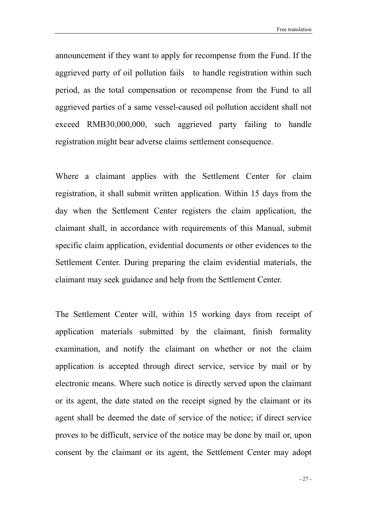announcement if they want to apply for recompense from the Fund. If the aggrieved party of oil pollution fails to handle registration within such period, as the total compensation or recompense from the Fund to all aggrieved parties of a same vessel-caused oil pollution accident shall not exceed RMB30,000,000, such aggrieved party failing to handle registration might bear adverse claims settlement consequence.

Where a claimant applies with the Settlement Center for claim registration, it shall submit written application. Within 15 days from the day when the Settlement Center registers the claim application, the claimant shall, in accordance with requirements of this Manual, submit specific claim application, evidential documents or other evidences to the Settlement Center. During preparing the claim evidential materials, the claimant may seek guidance and help from the Settlement Center.

The Settlement Center will, within 15 working days from receipt of application materials submitted by the claimant, finish formality examination, and notify the claimant on whether or not the claim application is accepted through direct service, service by mail or by electronic means. Where such notice is directly served upon the claimant or its agent, the date stated on the receipt signed by the claimant or its agent shall be deemed the date of service of the notice; if direct service proves to be difficult, service of the notice may be done by mail or, upon consent by the claimant or its agent, the Settlement Center may adopt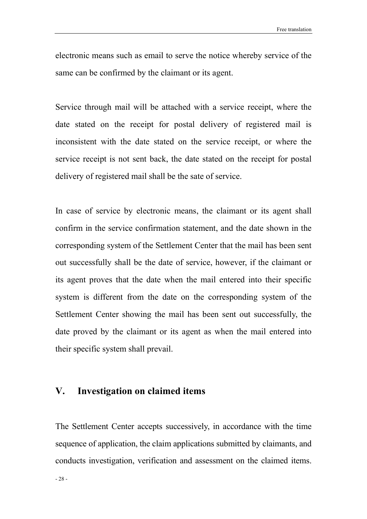electronic means such as email to serve the notice whereby service of the same can be confirmed by the claimant or its agent.

Service through mail will be attached with a service receipt, where the date stated on the receipt for postal delivery of registered mail is inconsistent with the date stated on the service receipt, or where the service receipt is not sent back, the date stated on the receipt for postal delivery of registered mail shall be the sate of service.

In case of service by electronic means, the claimant or its agent shall confirm in the service confirmation statement, and the date shown in the corresponding system of the Settlement Center that the mail has been sent out successfully shall be the date of service, however, if the claimant or its agent proves that the date when the mail entered into their specific system is different from the date on the corresponding system of the Settlement Center showing the mail has been sent out successfully, the date proved by the claimant or its agent as when the mail entered into their specific system shall prevail.

### V. Investigation on claimed items

The Settlement Center accepts successively, in accordance with the time sequence of application, the claim applications submitted by claimants, and conducts investigation, verification and assessment on the claimed items.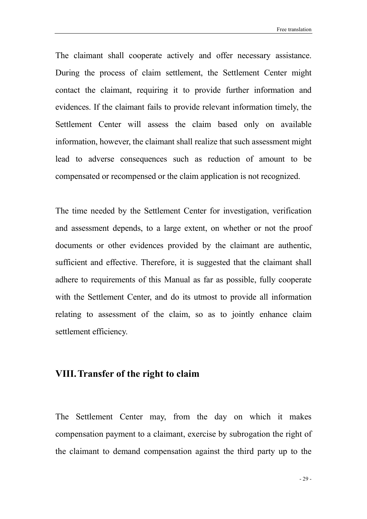Free translation

The claimant shall cooperate actively and offer necessary assistance. During the process of claim settlement, the Settlement Center might contact the claimant, requiring it to provide further information and evidences. If the claimant fails to provide relevant information timely, the Settlement Center will assess the claim based only on available information, however, the claimant shall realize that such assessment might lead to adverse consequences such as reduction of amount to be compensated or recompensed or the claim application is not recognized.

The time needed by the Settlement Center for investigation, verification and assessment depends, to a large extent, on whether or not the proof documents or other evidences provided by the claimant are authentic, sufficient and effective. Therefore, it is suggested that the claimant shall adhere to requirements of this Manual as far as possible, fully cooperate with the Settlement Center, and do its utmost to provide all information relating to assessment of the claim, so as to jointly enhance claim settlement efficiency.

## VIII.Transfer of the right to claim

The Settlement Center may, from the day on which it makes compensation payment to a claimant, exercise by subrogation the right of the claimant to demand compensation against the third party up to the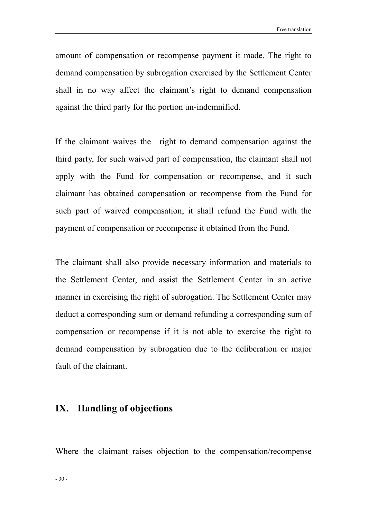amount of compensation or recompense payment it made. The right to demand compensation by subrogation exercised by the Settlement Center shall in no way affect the claimant's right to demand compensation against the third party for the portion un-indemnified.

If the claimant waives the right to demand compensation against the third party, for such waived part of compensation, the claimant shall not apply with the Fund for compensation or recompense, and it such claimant has obtained compensation or recompense from the Fund for such part of waived compensation, it shall refund the Fund with the payment of compensation or recompense it obtained from the Fund.

The claimant shall also provide necessary information and materials to the Settlement Center, and assist the Settlement Center in an active manner in exercising the right of subrogation. The Settlement Center may deduct a corresponding sum or demand refunding a corresponding sum of compensation or recompense if it is not able to exercise the right to demand compensation by subrogation due to the deliberation or major fault of the claimant.

### IX. Handling of objections

Where the claimant raises objection to the compensation/recompense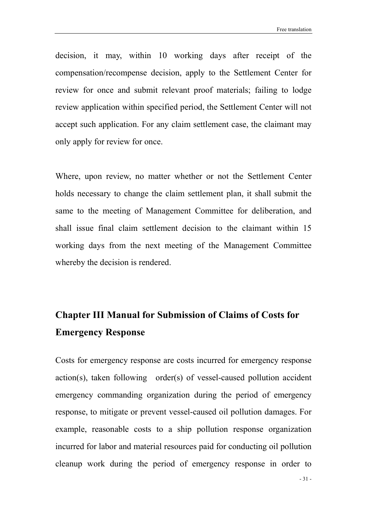decision, it may, within 10 working days after receipt of the compensation/recompense decision, apply to the Settlement Center for review for once and submit relevant proof materials; failing to lodge review application within specified period, the Settlement Center will not accept such application. For any claim settlement case, the claimant may only apply for review for once.

Where, upon review, no matter whether or not the Settlement Center holds necessary to change the claim settlement plan, it shall submit the same to the meeting of Management Committee for deliberation, and shall issue final claim settlement decision to the claimant within 15 working days from the next meeting of the Management Committee whereby the decision is rendered.

## Chapter III Manual for Submission of Claims of Costs for Emergency Response

Costs for emergency response are costs incurred for emergency response action(s), taken following order(s) of vessel-caused pollution accident emergency commanding organization during the period of emergency response, to mitigate or prevent vessel-caused oil pollution damages. For example, reasonable costs to a ship pollution response organization incurred for labor and material resources paid for conducting oil pollution cleanup work during the period of emergency response in order to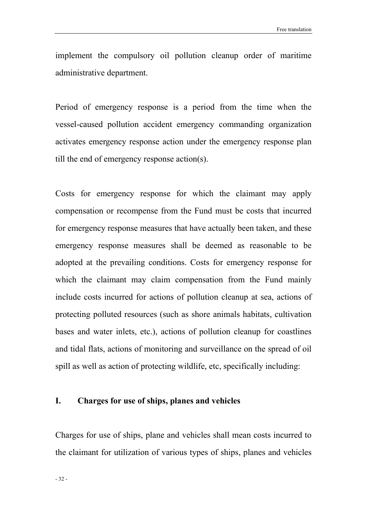implement the compulsory oil pollution cleanup order of maritime administrative department.

Period of emergency response is a period from the time when the vessel-caused pollution accident emergency commanding organization activates emergency response action under the emergency response plan till the end of emergency response action(s).

Costs for emergency response for which the claimant may apply compensation or recompense from the Fund must be costs that incurred for emergency response measures that have actually been taken, and these emergency response measures shall be deemed as reasonable to be adopted at the prevailing conditions. Costs for emergency response for which the claimant may claim compensation from the Fund mainly include costs incurred for actions of pollution cleanup at sea, actions of protecting polluted resources (such as shore animals habitats, cultivation bases and water inlets, etc.), actions of pollution cleanup for coastlines and tidal flats, actions of monitoring and surveillance on the spread of oil spill as well as action of protecting wildlife, etc, specifically including:

#### I. Charges for use of ships, planes and vehicles

Charges for use of ships, plane and vehicles shall mean costs incurred to the claimant for utilization of various types of ships, planes and vehicles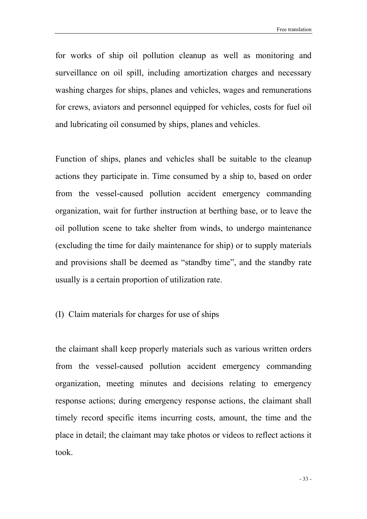for works of ship oil pollution cleanup as well as monitoring and surveillance on oil spill, including amortization charges and necessary washing charges for ships, planes and vehicles, wages and remunerations for crews, aviators and personnel equipped for vehicles, costs for fuel oil and lubricating oil consumed by ships, planes and vehicles.

Function of ships, planes and vehicles shall be suitable to the cleanup actions they participate in. Time consumed by a ship to, based on order from the vessel-caused pollution accident emergency commanding organization, wait for further instruction at berthing base, or to leave the oil pollution scene to take shelter from winds, to undergo maintenance (excluding the time for daily maintenance for ship) or to supply materials and provisions shall be deemed as "standby time", and the standby rate usually is a certain proportion of utilization rate.

#### (I) Claim materials for charges for use of ships

the claimant shall keep properly materials such as various written orders from the vessel-caused pollution accident emergency commanding organization, meeting minutes and decisions relating to emergency response actions; during emergency response actions, the claimant shall timely record specific items incurring costs, amount, the time and the place in detail; the claimant may take photos or videos to reflect actions it took.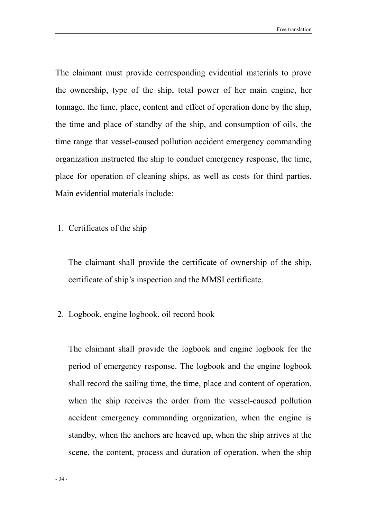The claimant must provide corresponding evidential materials to prove the ownership, type of the ship, total power of her main engine, her tonnage, the time, place, content and effect of operation done by the ship, the time and place of standby of the ship, and consumption of oils, the time range that vessel-caused pollution accident emergency commanding organization instructed the ship to conduct emergency response, the time, place for operation of cleaning ships, as well as costs for third parties. Main evidential materials include:

1. Certificates of the ship

The claimant shall provide the certificate of ownership of the ship, certificate of ship's inspection and the MMSI certificate.

2. Logbook, engine logbook, oil record book

The claimant shall provide the logbook and engine logbook for the period of emergency response. The logbook and the engine logbook shall record the sailing time, the time, place and content of operation, when the ship receives the order from the vessel-caused pollution accident emergency commanding organization, when the engine is standby, when the anchors are heaved up, when the ship arrives at the scene, the content, process and duration of operation, when the ship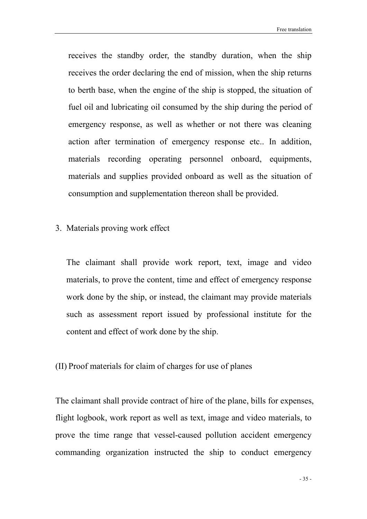receives the standby order, the standby duration, when the ship receives the order declaring the end of mission, when the ship returns to berth base, when the engine of the ship is stopped, the situation of fuel oil and lubricating oil consumed by the ship during the period of emergency response, as well as whether or not there was cleaning action after termination of emergency response etc.. In addition, materials recording operating personnel onboard, equipments, materials and supplies provided onboard as well as the situation of consumption and supplementation thereon shall be provided.

#### 3. Materials proving work effect

The claimant shall provide work report, text, image and video materials, to prove the content, time and effect of emergency response work done by the ship, or instead, the claimant may provide materials such as assessment report issued by professional institute for the content and effect of work done by the ship.

#### (II) Proof materials for claim of charges for use of planes

The claimant shall provide contract of hire of the plane, bills for expenses, flight logbook, work report as well as text, image and video materials, to prove the time range that vessel-caused pollution accident emergency commanding organization instructed the ship to conduct emergency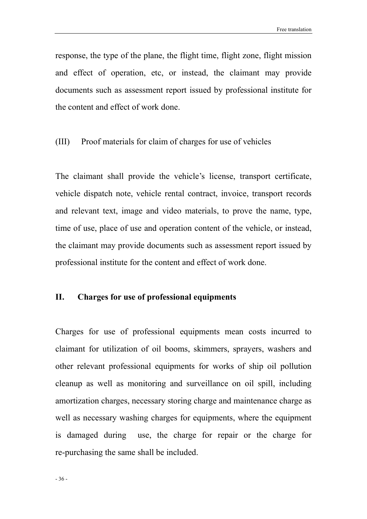response, the type of the plane, the flight time, flight zone, flight mission and effect of operation, etc, or instead, the claimant may provide documents such as assessment report issued by professional institute for the content and effect of work done.

#### (III) Proof materials for claim of charges for use of vehicles

The claimant shall provide the vehicle's license, transport certificate, vehicle dispatch note, vehicle rental contract, invoice, transport records and relevant text, image and video materials, to prove the name, type, time of use, place of use and operation content of the vehicle, or instead, the claimant may provide documents such as assessment report issued by professional institute for the content and effect of work done.

#### II. Charges for use of professional equipments

Charges for use of professional equipments mean costs incurred to claimant for utilization of oil booms, skimmers, sprayers, washers and other relevant professional equipments for works of ship oil pollution cleanup as well as monitoring and surveillance on oil spill, including amortization charges, necessary storing charge and maintenance charge as well as necessary washing charges for equipments, where the equipment is damaged during use, the charge for repair or the charge for re-purchasing the same shall be included.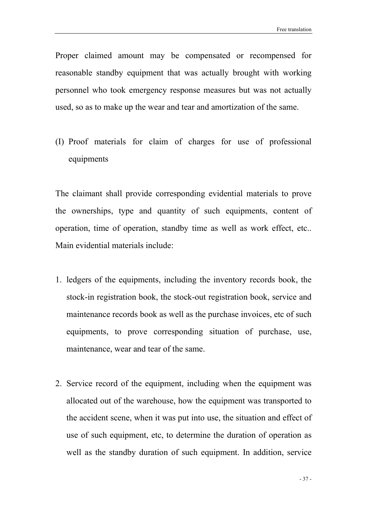Proper claimed amount may be compensated or recompensed for reasonable standby equipment that was actually brought with working personnel who took emergency response measures but was not actually used, so as to make up the wear and tear and amortization of the same.

(I) Proof materials for claim of charges for use of professional equipments

The claimant shall provide corresponding evidential materials to prove the ownerships, type and quantity of such equipments, content of operation, time of operation, standby time as well as work effect, etc.. Main evidential materials include:

- 1. ledgers of the equipments, including the inventory records book, the stock-in registration book, the stock-out registration book, service and maintenance records book as well as the purchase invoices, etc of such equipments, to prove corresponding situation of purchase, use, maintenance, wear and tear of the same.
- 2. Service record of the equipment, including when the equipment was allocated out of the warehouse, how the equipment was transported to the accident scene, when it was put into use, the situation and effect of use of such equipment, etc, to determine the duration of operation as well as the standby duration of such equipment. In addition, service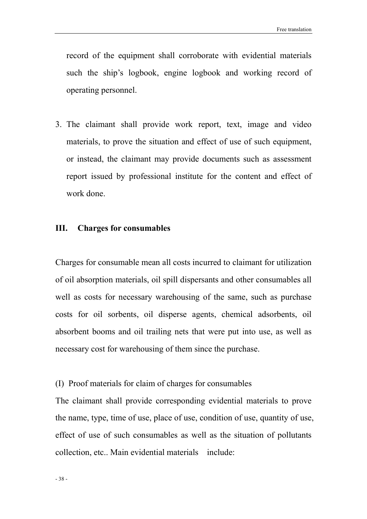record of the equipment shall corroborate with evidential materials such the ship's logbook, engine logbook and working record of operating personnel.

3. The claimant shall provide work report, text, image and video materials, to prove the situation and effect of use of such equipment, or instead, the claimant may provide documents such as assessment report issued by professional institute for the content and effect of work done.

#### III. Charges for consumables

Charges for consumable mean all costs incurred to claimant for utilization of oil absorption materials, oil spill dispersants and other consumables all well as costs for necessary warehousing of the same, such as purchase costs for oil sorbents, oil disperse agents, chemical adsorbents, oil absorbent booms and oil trailing nets that were put into use, as well as necessary cost for warehousing of them since the purchase.

#### (I) Proof materials for claim of charges for consumables

The claimant shall provide corresponding evidential materials to prove the name, type, time of use, place of use, condition of use, quantity of use, effect of use of such consumables as well as the situation of pollutants collection, etc.. Main evidential materials include: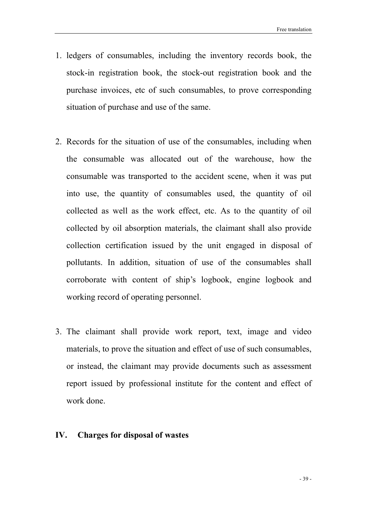- 1. ledgers of consumables, including the inventory records book, the stock-in registration book, the stock-out registration book and the purchase invoices, etc of such consumables, to prove corresponding situation of purchase and use of the same.
- 2. Records for the situation of use of the consumables, including when the consumable was allocated out of the warehouse, how the consumable was transported to the accident scene, when it was put into use, the quantity of consumables used, the quantity of oil collected as well as the work effect, etc. As to the quantity of oil collected by oil absorption materials, the claimant shall also provide collection certification issued by the unit engaged in disposal of pollutants. In addition, situation of use of the consumables shall corroborate with content of ship's logbook, engine logbook and working record of operating personnel.
- 3. The claimant shall provide work report, text, image and video materials, to prove the situation and effect of use of such consumables, or instead, the claimant may provide documents such as assessment report issued by professional institute for the content and effect of work done.

#### IV. Charges for disposal of wastes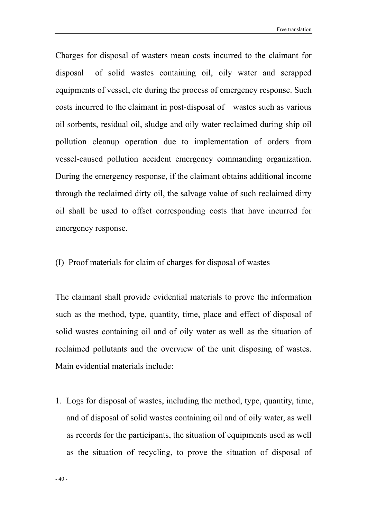Charges for disposal of wasters mean costs incurred to the claimant for disposal of solid wastes containing oil, oily water and scrapped equipments of vessel, etc during the process of emergency response. Such costs incurred to the claimant in post-disposal of wastes such as various oil sorbents, residual oil, sludge and oily water reclaimed during ship oil pollution cleanup operation due to implementation of orders from vessel-caused pollution accident emergency commanding organization. During the emergency response, if the claimant obtains additional income through the reclaimed dirty oil, the salvage value of such reclaimed dirty oil shall be used to offset corresponding costs that have incurred for emergency response.

(I) Proof materials for claim of charges for disposal of wastes

The claimant shall provide evidential materials to prove the information such as the method, type, quantity, time, place and effect of disposal of solid wastes containing oil and of oily water as well as the situation of reclaimed pollutants and the overview of the unit disposing of wastes. Main evidential materials include:

1. Logs for disposal of wastes, including the method, type, quantity, time, and of disposal of solid wastes containing oil and of oily water, as well as records for the participants, the situation of equipments used as well as the situation of recycling, to prove the situation of disposal of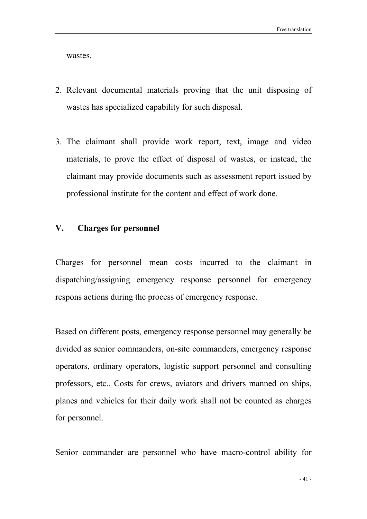wastes.

- 2. Relevant documental materials proving that the unit disposing of wastes has specialized capability for such disposal.
- 3. The claimant shall provide work report, text, image and video materials, to prove the effect of disposal of wastes, or instead, the claimant may provide documents such as assessment report issued by professional institute for the content and effect of work done.

#### V. Charges for personnel

Charges for personnel mean costs incurred to the claimant in dispatching/assigning emergency response personnel for emergency respons actions during the process of emergency response.

Based on different posts, emergency response personnel may generally be divided as senior commanders, on-site commanders, emergency response operators, ordinary operators, logistic support personnel and consulting professors, etc.. Costs for crews, aviators and drivers manned on ships, planes and vehicles for their daily work shall not be counted as charges for personnel.

Senior commander are personnel who have macro-control ability for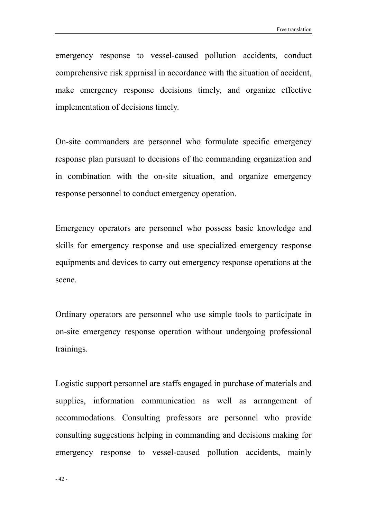emergency response to vessel-caused pollution accidents, conduct comprehensive risk appraisal in accordance with the situation of accident, make emergency response decisions timely, and organize effective implementation of decisions timely.

On-site commanders are personnel who formulate specific emergency response plan pursuant to decisions of the commanding organization and in combination with the on-site situation, and organize emergency response personnel to conduct emergency operation.

Emergency operators are personnel who possess basic knowledge and skills for emergency response and use specialized emergency response equipments and devices to carry out emergency response operations at the scene.

Ordinary operators are personnel who use simple tools to participate in on-site emergency response operation without undergoing professional trainings.

Logistic support personnel are staffs engaged in purchase of materials and supplies, information communication as well as arrangement of accommodations. Consulting professors are personnel who provide consulting suggestions helping in commanding and decisions making for emergency response to vessel-caused pollution accidents, mainly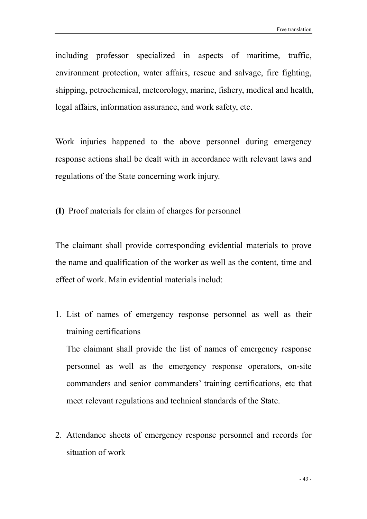including professor specialized in aspects of maritime, traffic, environment protection, water affairs, rescue and salvage, fire fighting, shipping, petrochemical, meteorology, marine, fishery, medical and health, legal affairs, information assurance, and work safety, etc.

Work injuries happened to the above personnel during emergency response actions shall be dealt with in accordance with relevant laws and regulations of the State concerning work injury.

(I) Proof materials for claim of charges for personnel

The claimant shall provide corresponding evidential materials to prove the name and qualification of the worker as well as the content, time and effect of work. Main evidential materials includ:

1. List of names of emergency response personnel as well as their training certifications

The claimant shall provide the list of names of emergency response personnel as well as the emergency response operators, on-site commanders and senior commanders' training certifications, etc that meet relevant regulations and technical standards of the State.

2. Attendance sheets of emergency response personnel and records for situation of work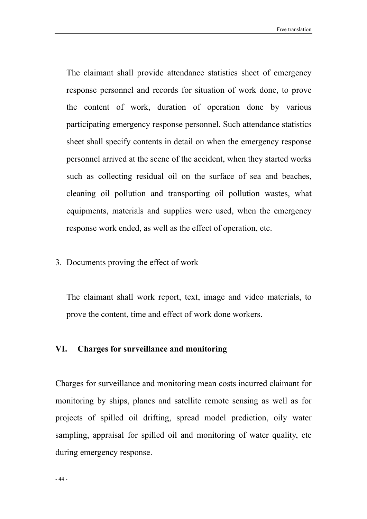The claimant shall provide attendance statistics sheet of emergency response personnel and records for situation of work done, to prove the content of work, duration of operation done by various participating emergency response personnel. Such attendance statistics sheet shall specify contents in detail on when the emergency response personnel arrived at the scene of the accident, when they started works such as collecting residual oil on the surface of sea and beaches, cleaning oil pollution and transporting oil pollution wastes, what equipments, materials and supplies were used, when the emergency response work ended, as well as the effect of operation, etc.

3. Documents proving the effect of work

The claimant shall work report, text, image and video materials, to prove the content, time and effect of work done workers.

#### VI. Charges for surveillance and monitoring

Charges for surveillance and monitoring mean costs incurred claimant for monitoring by ships, planes and satellite remote sensing as well as for projects of spilled oil drifting, spread model prediction, oily water sampling, appraisal for spilled oil and monitoring of water quality, etc during emergency response.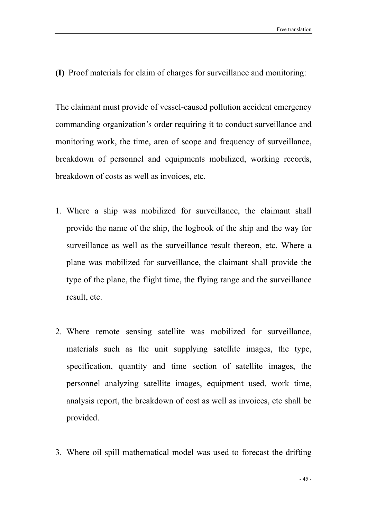(I) Proof materials for claim of charges for surveillance and monitoring:

The claimant must provide of vessel-caused pollution accident emergency commanding organization's order requiring it to conduct surveillance and monitoring work, the time, area of scope and frequency of surveillance, breakdown of personnel and equipments mobilized, working records, breakdown of costs as well as invoices, etc.

- 1. Where a ship was mobilized for surveillance, the claimant shall provide the name of the ship, the logbook of the ship and the way for surveillance as well as the surveillance result thereon, etc. Where a plane was mobilized for surveillance, the claimant shall provide the type of the plane, the flight time, the flying range and the surveillance result, etc.
- 2. Where remote sensing satellite was mobilized for surveillance, materials such as the unit supplying satellite images, the type, specification, quantity and time section of satellite images, the personnel analyzing satellite images, equipment used, work time, analysis report, the breakdown of cost as well as invoices, etc shall be provided.
- 3. Where oil spill mathematical model was used to forecast the drifting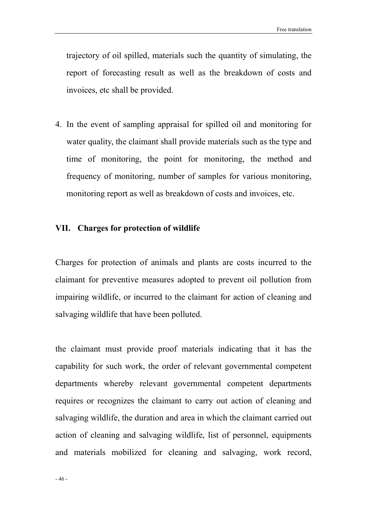trajectory of oil spilled, materials such the quantity of simulating, the report of forecasting result as well as the breakdown of costs and invoices, etc shall be provided.

4. In the event of sampling appraisal for spilled oil and monitoring for water quality, the claimant shall provide materials such as the type and time of monitoring, the point for monitoring, the method and frequency of monitoring, number of samples for various monitoring, monitoring report as well as breakdown of costs and invoices, etc.

#### VII. Charges for protection of wildlife

Charges for protection of animals and plants are costs incurred to the claimant for preventive measures adopted to prevent oil pollution from impairing wildlife, or incurred to the claimant for action of cleaning and salvaging wildlife that have been polluted.

the claimant must provide proof materials indicating that it has the capability for such work, the order of relevant governmental competent departments whereby relevant governmental competent departments requires or recognizes the claimant to carry out action of cleaning and salvaging wildlife, the duration and area in which the claimant carried out action of cleaning and salvaging wildlife, list of personnel, equipments and materials mobilized for cleaning and salvaging, work record,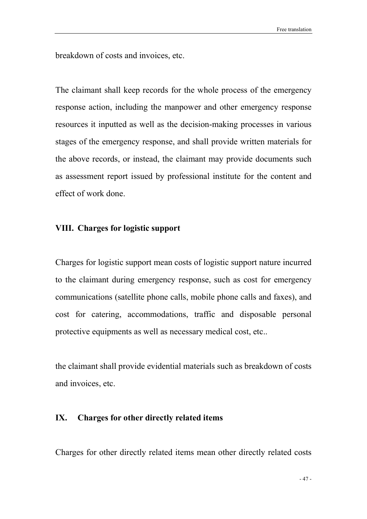breakdown of costs and invoices, etc.

The claimant shall keep records for the whole process of the emergency response action, including the manpower and other emergency response resources it inputted as well as the decision-making processes in various stages of the emergency response, and shall provide written materials for the above records, or instead, the claimant may provide documents such as assessment report issued by professional institute for the content and effect of work done.

#### VIII. Charges for logistic support

Charges for logistic support mean costs of logistic support nature incurred to the claimant during emergency response, such as cost for emergency communications (satellite phone calls, mobile phone calls and faxes), and cost for catering, accommodations, traffic and disposable personal protective equipments as well as necessary medical cost, etc..

the claimant shall provide evidential materials such as breakdown of costs and invoices, etc.

#### IX. Charges for other directly related items

Charges for other directly related items mean other directly related costs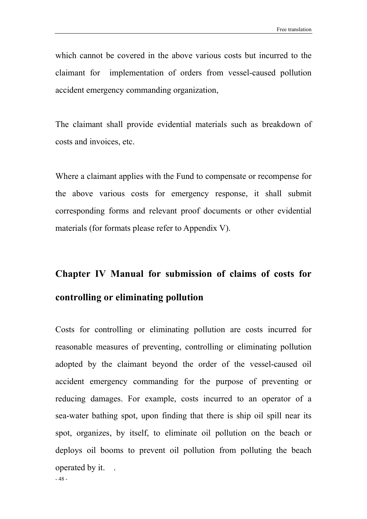which cannot be covered in the above various costs but incurred to the claimant for implementation of orders from vessel-caused pollution accident emergency commanding organization,

The claimant shall provide evidential materials such as breakdown of costs and invoices, etc.

Where a claimant applies with the Fund to compensate or recompense for the above various costs for emergency response, it shall submit corresponding forms and relevant proof documents or other evidential materials (for formats please refer to Appendix V).

# Chapter IV Manual for submission of claims of costs for controlling or eliminating pollution

- 48 - Costs for controlling or eliminating pollution are costs incurred for reasonable measures of preventing, controlling or eliminating pollution adopted by the claimant beyond the order of the vessel-caused oil accident emergency commanding for the purpose of preventing or reducing damages. For example, costs incurred to an operator of a sea-water bathing spot, upon finding that there is ship oil spill near its spot, organizes, by itself, to eliminate oil pollution on the beach or deploys oil booms to prevent oil pollution from polluting the beach operated by it. .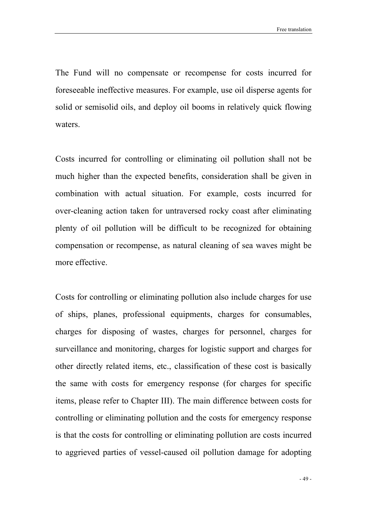The Fund will no compensate or recompense for costs incurred for foreseeable ineffective measures. For example, use oil disperse agents for solid or semisolid oils, and deploy oil booms in relatively quick flowing waters.

Costs incurred for controlling or eliminating oil pollution shall not be much higher than the expected benefits, consideration shall be given in combination with actual situation. For example, costs incurred for over-cleaning action taken for untraversed rocky coast after eliminating plenty of oil pollution will be difficult to be recognized for obtaining compensation or recompense, as natural cleaning of sea waves might be more effective.

Costs for controlling or eliminating pollution also include charges for use of ships, planes, professional equipments, charges for consumables, charges for disposing of wastes, charges for personnel, charges for surveillance and monitoring, charges for logistic support and charges for other directly related items, etc., classification of these cost is basically the same with costs for emergency response (for charges for specific items, please refer to Chapter III). The main difference between costs for controlling or eliminating pollution and the costs for emergency response is that the costs for controlling or eliminating pollution are costs incurred to aggrieved parties of vessel-caused oil pollution damage for adopting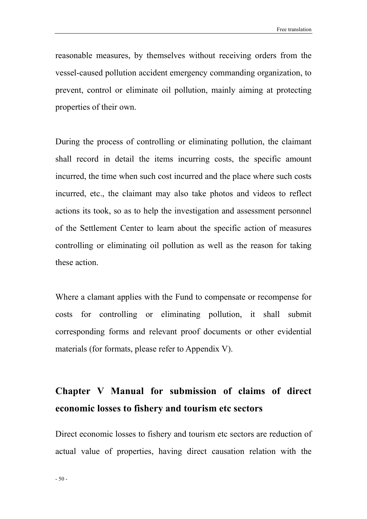reasonable measures, by themselves without receiving orders from the vessel-caused pollution accident emergency commanding organization, to prevent, control or eliminate oil pollution, mainly aiming at protecting properties of their own.

During the process of controlling or eliminating pollution, the claimant shall record in detail the items incurring costs, the specific amount incurred, the time when such cost incurred and the place where such costs incurred, etc., the claimant may also take photos and videos to reflect actions its took, so as to help the investigation and assessment personnel of the Settlement Center to learn about the specific action of measures controlling or eliminating oil pollution as well as the reason for taking these action.

Where a clamant applies with the Fund to compensate or recompense for costs for controlling or eliminating pollution, it shall submit corresponding forms and relevant proof documents or other evidential materials (for formats, please refer to Appendix V).

## Chapter V Manual for submission of claims of direct economic losses to fishery and tourism etc sectors

Direct economic losses to fishery and tourism etc sectors are reduction of actual value of properties, having direct causation relation with the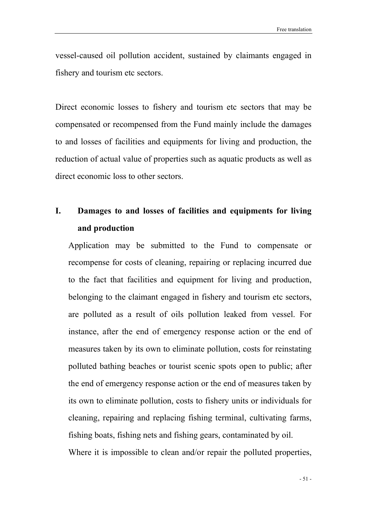vessel-caused oil pollution accident, sustained by claimants engaged in fishery and tourism etc sectors.

Direct economic losses to fishery and tourism etc sectors that may be compensated or recompensed from the Fund mainly include the damages to and losses of facilities and equipments for living and production, the reduction of actual value of properties such as aquatic products as well as direct economic loss to other sectors.

## I. Damages to and losses of facilities and equipments for living and production

Application may be submitted to the Fund to compensate or recompense for costs of cleaning, repairing or replacing incurred due to the fact that facilities and equipment for living and production, belonging to the claimant engaged in fishery and tourism etc sectors, are polluted as a result of oils pollution leaked from vessel. For instance, after the end of emergency response action or the end of measures taken by its own to eliminate pollution, costs for reinstating polluted bathing beaches or tourist scenic spots open to public; after the end of emergency response action or the end of measures taken by its own to eliminate pollution, costs to fishery units or individuals for cleaning, repairing and replacing fishing terminal, cultivating farms, fishing boats, fishing nets and fishing gears, contaminated by oil. Where it is impossible to clean and/or repair the polluted properties,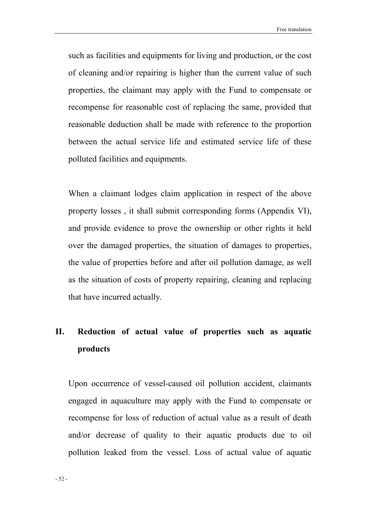such as facilities and equipments for living and production, or the cost of cleaning and/or repairing is higher than the current value of such properties, the claimant may apply with the Fund to compensate or recompense for reasonable cost of replacing the same, provided that reasonable deduction shall be made with reference to the proportion between the actual service life and estimated service life of these polluted facilities and equipments.

When a claimant lodges claim application in respect of the above property losses , it shall submit corresponding forms (Appendix VI), and provide evidence to prove the ownership or other rights it held over the damaged properties, the situation of damages to properties, the value of properties before and after oil pollution damage, as well as the situation of costs of property repairing, cleaning and replacing that have incurred actually.

## II. Reduction of actual value of properties such as aquatic products

Upon occurrence of vessel-caused oil pollution accident, claimants engaged in aquaculture may apply with the Fund to compensate or recompense for loss of reduction of actual value as a result of death and/or decrease of quality to their aquatic products due to oil pollution leaked from the vessel. Loss of actual value of aquatic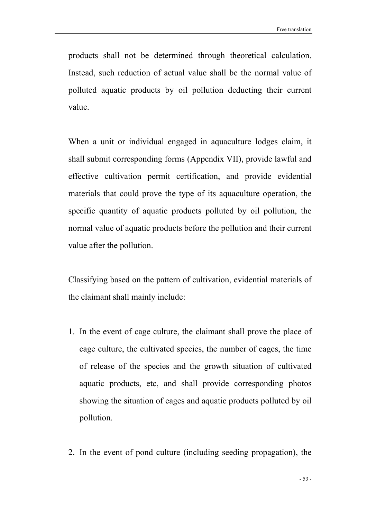products shall not be determined through theoretical calculation. Instead, such reduction of actual value shall be the normal value of polluted aquatic products by oil pollution deducting their current value.

When a unit or individual engaged in aquaculture lodges claim, it shall submit corresponding forms (Appendix VII), provide lawful and effective cultivation permit certification, and provide evidential materials that could prove the type of its aquaculture operation, the specific quantity of aquatic products polluted by oil pollution, the normal value of aquatic products before the pollution and their current value after the pollution.

Classifying based on the pattern of cultivation, evidential materials of the claimant shall mainly include:

- 1. In the event of cage culture, the claimant shall prove the place of cage culture, the cultivated species, the number of cages, the time of release of the species and the growth situation of cultivated aquatic products, etc, and shall provide corresponding photos showing the situation of cages and aquatic products polluted by oil pollution.
- 2. In the event of pond culture (including seeding propagation), the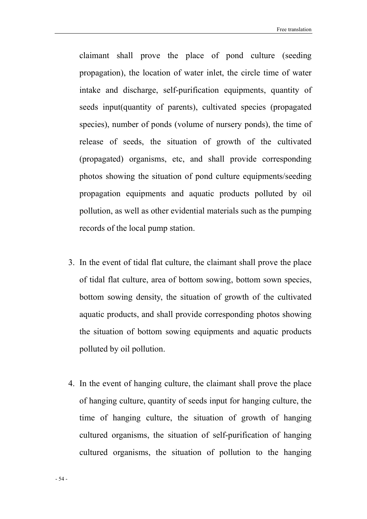claimant shall prove the place of pond culture (seeding propagation), the location of water inlet, the circle time of water intake and discharge, self-purification equipments, quantity of seeds input(quantity of parents), cultivated species (propagated species), number of ponds (volume of nursery ponds), the time of release of seeds, the situation of growth of the cultivated (propagated) organisms, etc, and shall provide corresponding photos showing the situation of pond culture equipments/seeding propagation equipments and aquatic products polluted by oil pollution, as well as other evidential materials such as the pumping records of the local pump station.

- 3. In the event of tidal flat culture, the claimant shall prove the place of tidal flat culture, area of bottom sowing, bottom sown species, bottom sowing density, the situation of growth of the cultivated aquatic products, and shall provide corresponding photos showing the situation of bottom sowing equipments and aquatic products polluted by oil pollution.
- 4. In the event of hanging culture, the claimant shall prove the place of hanging culture, quantity of seeds input for hanging culture, the time of hanging culture, the situation of growth of hanging cultured organisms, the situation of self-purification of hanging cultured organisms, the situation of pollution to the hanging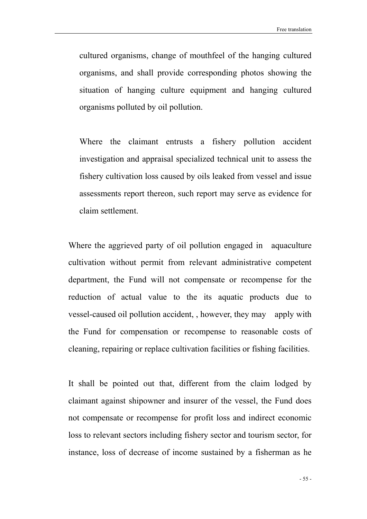cultured organisms, change of mouthfeel of the hanging cultured organisms, and shall provide corresponding photos showing the situation of hanging culture equipment and hanging cultured organisms polluted by oil pollution.

Where the claimant entrusts a fishery pollution accident investigation and appraisal specialized technical unit to assess the fishery cultivation loss caused by oils leaked from vessel and issue assessments report thereon, such report may serve as evidence for claim settlement.

Where the aggrieved party of oil pollution engaged in aquaculture cultivation without permit from relevant administrative competent department, the Fund will not compensate or recompense for the reduction of actual value to the its aquatic products due to vessel-caused oil pollution accident, , however, they may apply with the Fund for compensation or recompense to reasonable costs of cleaning, repairing or replace cultivation facilities or fishing facilities.

It shall be pointed out that, different from the claim lodged by claimant against shipowner and insurer of the vessel, the Fund does not compensate or recompense for profit loss and indirect economic loss to relevant sectors including fishery sector and tourism sector, for instance, loss of decrease of income sustained by a fisherman as he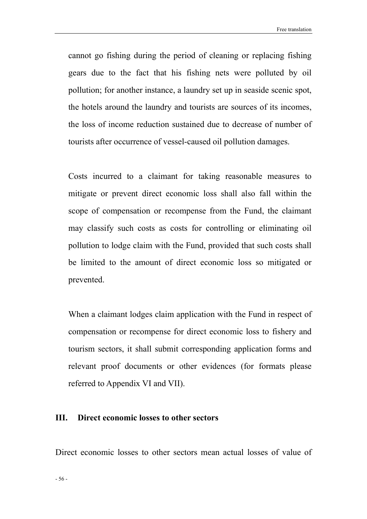cannot go fishing during the period of cleaning or replacing fishing gears due to the fact that his fishing nets were polluted by oil pollution; for another instance, a laundry set up in seaside scenic spot, the hotels around the laundry and tourists are sources of its incomes, the loss of income reduction sustained due to decrease of number of tourists after occurrence of vessel-caused oil pollution damages.

Costs incurred to a claimant for taking reasonable measures to mitigate or prevent direct economic loss shall also fall within the scope of compensation or recompense from the Fund, the claimant may classify such costs as costs for controlling or eliminating oil pollution to lodge claim with the Fund, provided that such costs shall be limited to the amount of direct economic loss so mitigated or prevented.

When a claimant lodges claim application with the Fund in respect of compensation or recompense for direct economic loss to fishery and tourism sectors, it shall submit corresponding application forms and relevant proof documents or other evidences (for formats please referred to Appendix VI and VII).

#### III. Direct economic losses to other sectors

Direct economic losses to other sectors mean actual losses of value of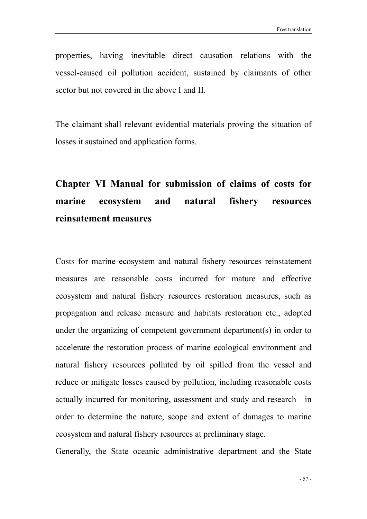properties, having inevitable direct causation relations with the vessel-caused oil pollution accident, sustained by claimants of other sector but not covered in the above I and II.

The claimant shall relevant evidential materials proving the situation of losses it sustained and application forms.

## Chapter VI Manual for submission of claims of costs for marine ecosystem and natural fishery resources reinsatement measures

Costs for marine ecosystem and natural fishery resources reinstatement measures are reasonable costs incurred for mature and effective ecosystem and natural fishery resources restoration measures, such as propagation and release measure and habitats restoration etc., adopted under the organizing of competent government department(s) in order to accelerate the restoration process of marine ecological environment and natural fishery resources polluted by oil spilled from the vessel and reduce or mitigate losses caused by pollution, including reasonable costs actually incurred for monitoring, assessment and study and research in order to determine the nature, scope and extent of damages to marine ecosystem and natural fishery resources at preliminary stage.

Generally, the State oceanic administrative department and the State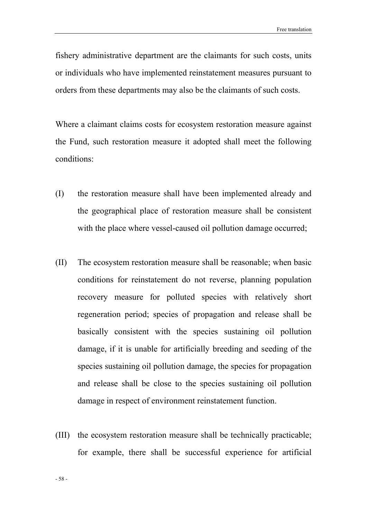fishery administrative department are the claimants for such costs, units or individuals who have implemented reinstatement measures pursuant to orders from these departments may also be the claimants of such costs.

Where a claimant claims costs for ecosystem restoration measure against the Fund, such restoration measure it adopted shall meet the following conditions:

- (I) the restoration measure shall have been implemented already and the geographical place of restoration measure shall be consistent with the place where vessel-caused oil pollution damage occurred;
- (II) The ecosystem restoration measure shall be reasonable; when basic conditions for reinstatement do not reverse, planning population recovery measure for polluted species with relatively short regeneration period; species of propagation and release shall be basically consistent with the species sustaining oil pollution damage, if it is unable for artificially breeding and seeding of the species sustaining oil pollution damage, the species for propagation and release shall be close to the species sustaining oil pollution damage in respect of environment reinstatement function.
- (III) the ecosystem restoration measure shall be technically practicable; for example, there shall be successful experience for artificial